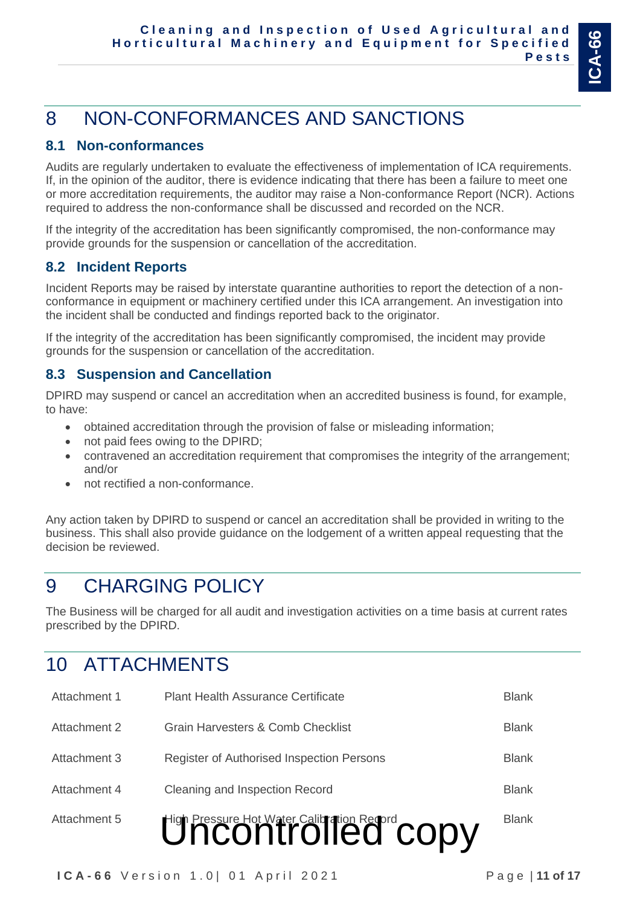# 8 NON-CONFORMANCES AND SANCTIONS

### **8.1 Non-conformances**

Audits are regularly undertaken to evaluate the effectiveness of implementation of ICA requirements. If, in the opinion of the auditor, there is evidence indicating that there has been a failure to meet one or more accreditation requirements, the auditor may raise a Non-conformance Report (NCR). Actions required to address the non-conformance shall be discussed and recorded on the NCR.

If the integrity of the accreditation has been significantly compromised, the non-conformance may provide grounds for the suspension or cancellation of the accreditation.

### **8.2 Incident Reports**

Incident Reports may be raised by interstate quarantine authorities to report the detection of a nonconformance in equipment or machinery certified under this ICA arrangement. An investigation into the incident shall be conducted and findings reported back to the originator.

If the integrity of the accreditation has been significantly compromised, the incident may provide grounds for the suspension or cancellation of the accreditation.

### **8.3 Suspension and Cancellation**

DPIRD may suspend or cancel an accreditation when an accredited business is found, for example, to have:

- obtained accreditation through the provision of false or misleading information;
- not paid fees owing to the DPIRD;
- contravened an accreditation requirement that compromises the integrity of the arrangement; and/or
- not rectified a non-conformance.

Any action taken by DPIRD to suspend or cancel an accreditation shall be provided in writing to the business. This shall also provide guidance on the lodgement of a written appeal requesting that the decision be reviewed.

# 9 CHARGING POLICY

The Business will be charged for all audit and investigation activities on a time basis at current rates prescribed by the DPIRD.

# 10 ATTACHMENTS

|              | Uncontrolled Copy                         |              |
|--------------|-------------------------------------------|--------------|
| Attachment 5 |                                           | <b>Blank</b> |
| Attachment 4 | Cleaning and Inspection Record            | <b>Blank</b> |
| Attachment 3 | Register of Authorised Inspection Persons | <b>Blank</b> |
| Attachment 2 | Grain Harvesters & Comb Checklist         | <b>Blank</b> |
| Attachment 1 | <b>Plant Health Assurance Certificate</b> | <b>Blank</b> |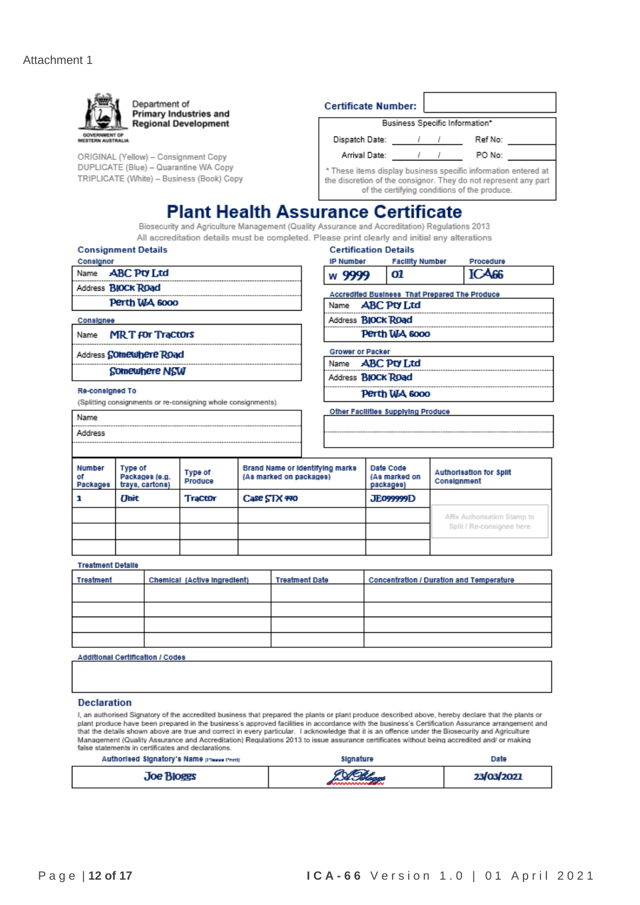

| Treatment | Chemical (Active ingredient) | <b>Treatment Date</b> | <b>Concentration / Duration and Temperature</b> |
|-----------|------------------------------|-----------------------|-------------------------------------------------|
|           |                              |                       |                                                 |
|           |                              |                       |                                                 |
|           |                              |                       |                                                 |
|           |                              |                       |                                                 |

**Additional Certification / Codes** 

#### **Declaration**

I, an authorised Signatory of the accredited business that prepared the plants or plant produce described above, hereby declare that the plants or plant produce have been prepared in the business's approved facilities in accordance with the business's Certification Assurance arrangement and that the details shown above are true and correct in every particular. I acknowledge that it is an offence under the Biosecurity and Agriculture Management (Quality Assurance and Accreditation) Regulations 2013 to issue assurance certificates without being accredited and/ or making false statements in certificates and declarations

| Authorised Signatory's Name preserving | Signature    | Date       |
|----------------------------------------|--------------|------------|
| <b>Joe Bloggs</b>                      | <b>CORRA</b> | 23/03/2021 |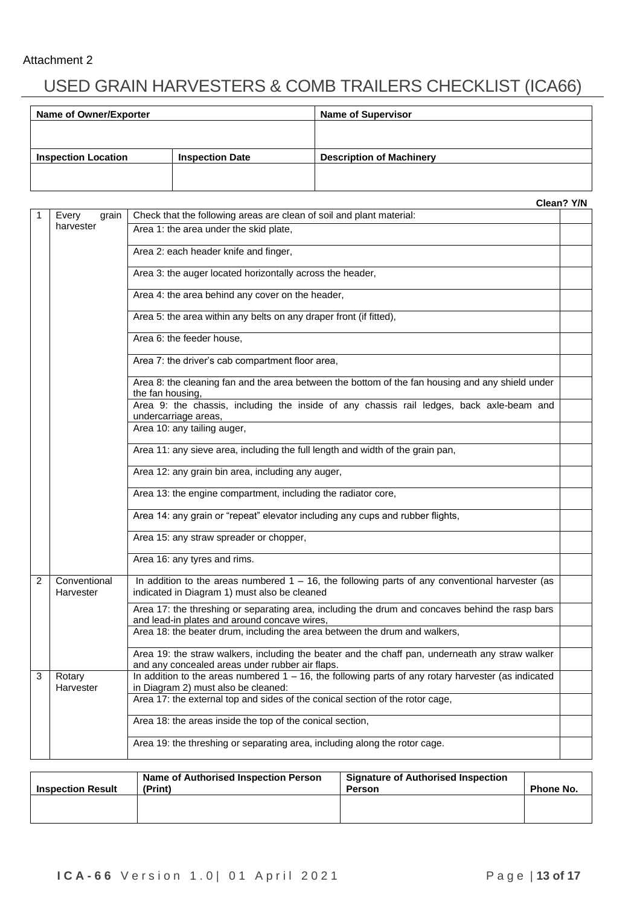### Attachment 2

# USED GRAIN HARVESTERS & COMB TRAILERS CHECKLIST (ICA66)

| Name of Owner/Exporter     |                        | <b>Name of Supervisor</b>       |
|----------------------------|------------------------|---------------------------------|
|                            |                        |                                 |
|                            |                        |                                 |
| <b>Inspection Location</b> | <b>Inspection Date</b> | <b>Description of Machinery</b> |
|                            |                        |                                 |
|                            |                        |                                 |

|                |                           |                                                                                                                                                    | Clean? Y/N |  |  |  |  |
|----------------|---------------------------|----------------------------------------------------------------------------------------------------------------------------------------------------|------------|--|--|--|--|
|                | Every<br>grain            | Check that the following areas are clean of soil and plant material:                                                                               |            |  |  |  |  |
|                | harvester                 | Area 1: the area under the skid plate,                                                                                                             |            |  |  |  |  |
|                |                           | Area 2: each header knife and finger,                                                                                                              |            |  |  |  |  |
|                |                           | Area 3: the auger located horizontally across the header,                                                                                          |            |  |  |  |  |
|                |                           | Area 4: the area behind any cover on the header,                                                                                                   |            |  |  |  |  |
|                |                           | Area 5: the area within any belts on any draper front (if fitted),                                                                                 |            |  |  |  |  |
|                |                           | Area 6: the feeder house,                                                                                                                          |            |  |  |  |  |
|                |                           | Area 7: the driver's cab compartment floor area,                                                                                                   |            |  |  |  |  |
|                |                           | Area 8: the cleaning fan and the area between the bottom of the fan housing and any shield under<br>the fan housing,                               |            |  |  |  |  |
|                |                           | Area 9: the chassis, including the inside of any chassis rail ledges, back axle-beam and<br>undercarriage areas,                                   |            |  |  |  |  |
|                |                           | Area 10: any tailing auger,                                                                                                                        |            |  |  |  |  |
|                |                           | Area 11: any sieve area, including the full length and width of the grain pan,                                                                     |            |  |  |  |  |
|                |                           | Area 12: any grain bin area, including any auger,                                                                                                  |            |  |  |  |  |
|                |                           | Area 13: the engine compartment, including the radiator core,                                                                                      |            |  |  |  |  |
|                |                           | Area 14: any grain or "repeat" elevator including any cups and rubber flights,                                                                     |            |  |  |  |  |
|                |                           | Area 15: any straw spreader or chopper,                                                                                                            |            |  |  |  |  |
|                |                           | Area 16: any tyres and rims.                                                                                                                       |            |  |  |  |  |
| $\overline{2}$ | Conventional<br>Harvester | In addition to the areas numbered $1 - 16$ , the following parts of any conventional harvester (as<br>indicated in Diagram 1) must also be cleaned |            |  |  |  |  |
|                |                           | Area 17: the threshing or separating area, including the drum and concaves behind the rasp bars<br>and lead-in plates and around concave wires,    |            |  |  |  |  |
|                |                           | Area 18: the beater drum, including the area between the drum and walkers,                                                                         |            |  |  |  |  |
|                |                           | Area 19: the straw walkers, including the beater and the chaff pan, underneath any straw walker<br>and any concealed areas under rubber air flaps. |            |  |  |  |  |
| 3              | Rotary<br>Harvester       | In addition to the areas numbered $1 - 16$ , the following parts of any rotary harvester (as indicated<br>in Diagram 2) must also be cleaned:      |            |  |  |  |  |
|                |                           | Area 17: the external top and sides of the conical section of the rotor cage,                                                                      |            |  |  |  |  |
|                |                           | Area 18: the areas inside the top of the conical section,                                                                                          |            |  |  |  |  |
|                |                           | Area 19: the threshing or separating area, including along the rotor cage.                                                                         |            |  |  |  |  |
|                |                           |                                                                                                                                                    |            |  |  |  |  |

| Name of Authorised Inspection Person<br>(Print)<br><b>Inspection Result</b> |  | <b>Signature of Authorised Inspection</b><br>Person | Phone No. |
|-----------------------------------------------------------------------------|--|-----------------------------------------------------|-----------|
|                                                                             |  |                                                     |           |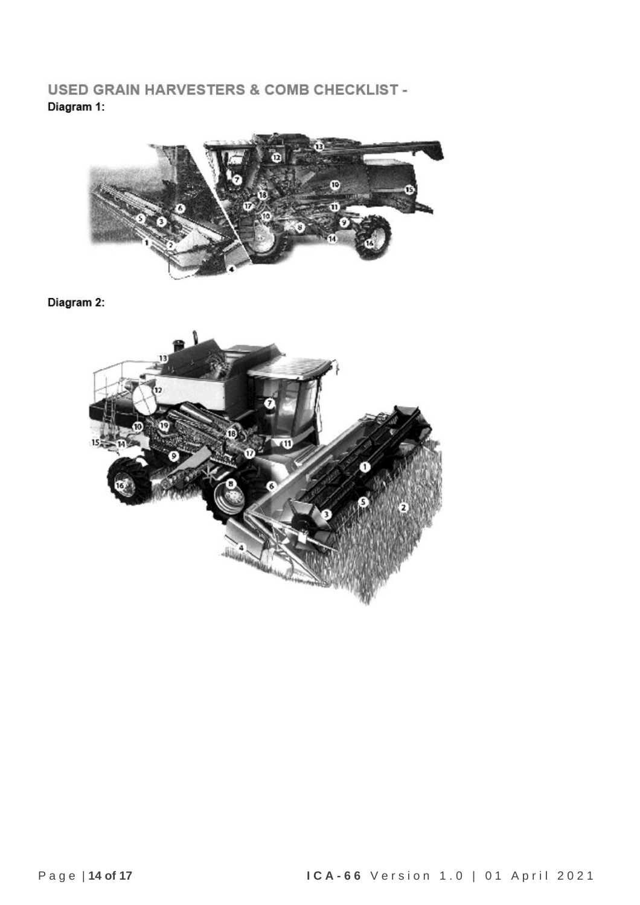**USED GRAIN HARVESTERS & COMB CHECKLIST -**Diagram 1:



Diagram 2:

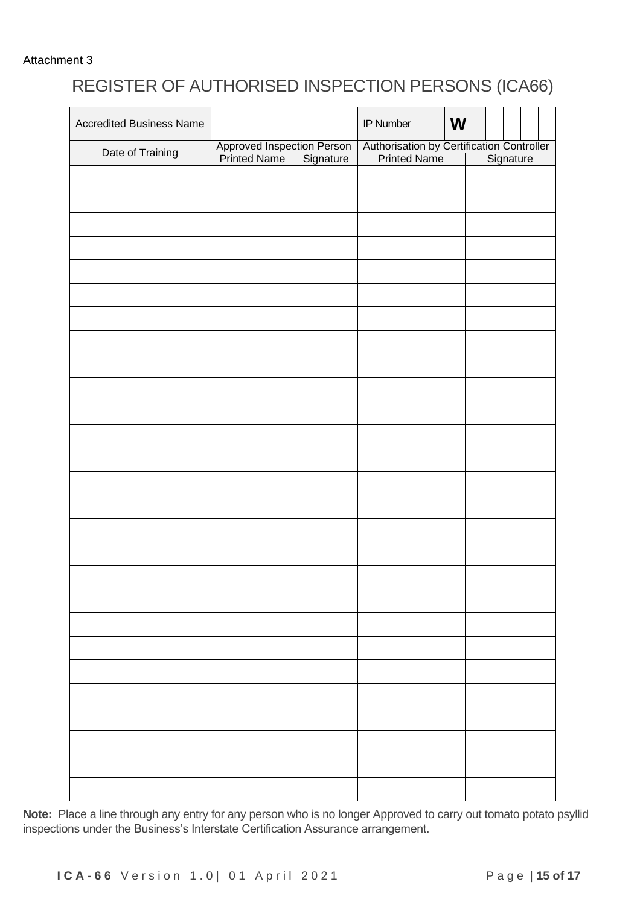Attachment 3

## REGISTER OF AUTHORISED INSPECTION PERSONS (ICA66)

| <b>Accredited Business Name</b> |                                                      |           | IP Number                                                           | W |           |  |
|---------------------------------|------------------------------------------------------|-----------|---------------------------------------------------------------------|---|-----------|--|
| Date of Training                | Approved Inspection Person<br>Printed Name Signature |           | Authorisation by Certification Controller<br>Printed Name Signature |   |           |  |
|                                 |                                                      | Signature |                                                                     |   | Signature |  |
|                                 |                                                      |           |                                                                     |   |           |  |
|                                 |                                                      |           |                                                                     |   |           |  |
|                                 |                                                      |           |                                                                     |   |           |  |
|                                 |                                                      |           |                                                                     |   |           |  |
|                                 |                                                      |           |                                                                     |   |           |  |
|                                 |                                                      |           |                                                                     |   |           |  |
|                                 |                                                      |           |                                                                     |   |           |  |
|                                 |                                                      |           |                                                                     |   |           |  |
|                                 |                                                      |           |                                                                     |   |           |  |
|                                 |                                                      |           |                                                                     |   |           |  |
|                                 |                                                      |           |                                                                     |   |           |  |
|                                 |                                                      |           |                                                                     |   |           |  |
|                                 |                                                      |           |                                                                     |   |           |  |
|                                 |                                                      |           |                                                                     |   |           |  |
|                                 |                                                      |           |                                                                     |   |           |  |
|                                 |                                                      |           |                                                                     |   |           |  |
|                                 |                                                      |           |                                                                     |   |           |  |
|                                 |                                                      |           |                                                                     |   |           |  |
|                                 |                                                      |           |                                                                     |   |           |  |
|                                 |                                                      |           |                                                                     |   |           |  |
|                                 |                                                      |           |                                                                     |   |           |  |
|                                 |                                                      |           |                                                                     |   |           |  |
|                                 |                                                      |           |                                                                     |   |           |  |
|                                 |                                                      |           |                                                                     |   |           |  |
|                                 |                                                      |           |                                                                     |   |           |  |
|                                 |                                                      |           |                                                                     |   |           |  |
|                                 |                                                      |           |                                                                     |   |           |  |
|                                 |                                                      |           |                                                                     |   |           |  |
|                                 |                                                      |           |                                                                     |   |           |  |
|                                 |                                                      |           |                                                                     |   |           |  |
|                                 |                                                      |           |                                                                     |   |           |  |
|                                 |                                                      |           |                                                                     |   |           |  |
|                                 |                                                      |           |                                                                     |   |           |  |

**Note:** Place a line through any entry for any person who is no longer Approved to carry out tomato potato psyllid inspections under the Business's Interstate Certification Assurance arrangement.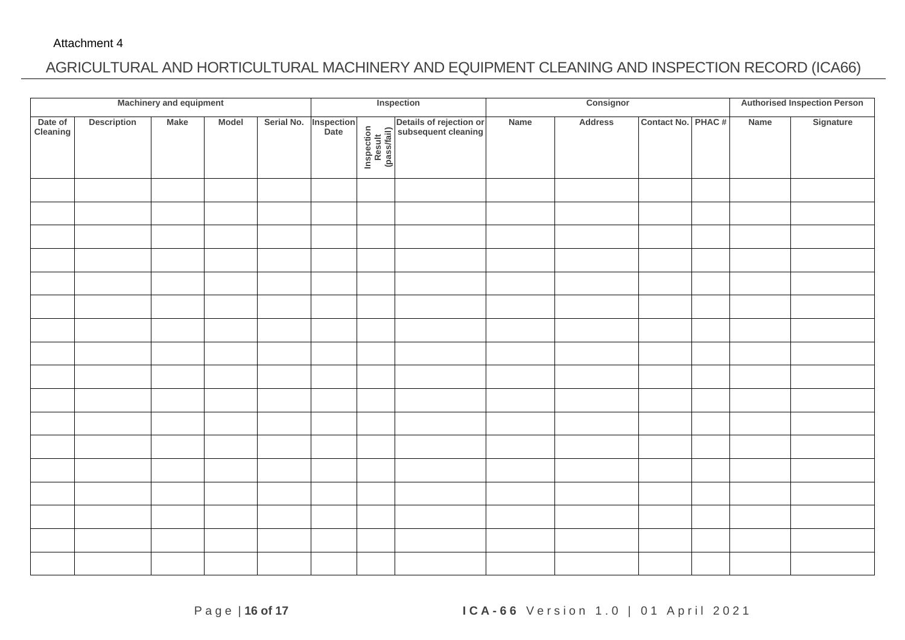### AGRICULTURAL AND HORTICULTURAL MACHINERY AND EQUIPMENT CLEANING AND INSPECTION RECORD (ICA66)

|                     |                    | <b>Machinery and equipment</b> |       |            |                    |                                     | Inspection                                     | Consignor |                | <b>Authorised Inspection Person</b> |  |      |           |
|---------------------|--------------------|--------------------------------|-------|------------|--------------------|-------------------------------------|------------------------------------------------|-----------|----------------|-------------------------------------|--|------|-----------|
| Date of<br>Cleaning | <b>Description</b> | <b>Make</b>                    | Model | Serial No. | Inspection<br>Date | Inspection<br>Result<br>(pass/fail) | Details of rejection or<br>subsequent cleaning | Name      | <b>Address</b> | Contact No. PHAC #                  |  | Name | Signature |
|                     |                    |                                |       |            |                    |                                     |                                                |           |                |                                     |  |      |           |
|                     |                    |                                |       |            |                    |                                     |                                                |           |                |                                     |  |      |           |
|                     |                    |                                |       |            |                    |                                     |                                                |           |                |                                     |  |      |           |
|                     |                    |                                |       |            |                    |                                     |                                                |           |                |                                     |  |      |           |
|                     |                    |                                |       |            |                    |                                     |                                                |           |                |                                     |  |      |           |
|                     |                    |                                |       |            |                    |                                     |                                                |           |                |                                     |  |      |           |
|                     |                    |                                |       |            |                    |                                     |                                                |           |                |                                     |  |      |           |
|                     |                    |                                |       |            |                    |                                     |                                                |           |                |                                     |  |      |           |
|                     |                    |                                |       |            |                    |                                     |                                                |           |                |                                     |  |      |           |
|                     |                    |                                |       |            |                    |                                     |                                                |           |                |                                     |  |      |           |
|                     |                    |                                |       |            |                    |                                     |                                                |           |                |                                     |  |      |           |
|                     |                    |                                |       |            |                    |                                     |                                                |           |                |                                     |  |      |           |
|                     |                    |                                |       |            |                    |                                     |                                                |           |                |                                     |  |      |           |
|                     |                    |                                |       |            |                    |                                     |                                                |           |                |                                     |  |      |           |
|                     |                    |                                |       |            |                    |                                     |                                                |           |                |                                     |  |      |           |
|                     |                    |                                |       |            |                    |                                     |                                                |           |                |                                     |  |      |           |
|                     |                    |                                |       |            |                    |                                     |                                                |           |                |                                     |  |      |           |